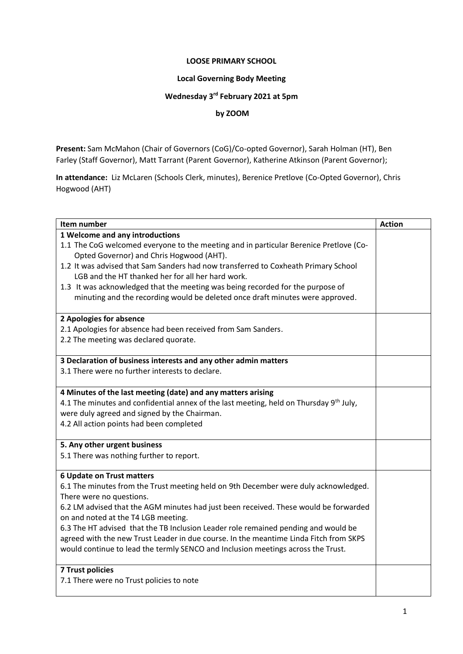#### **LOOSE PRIMARY SCHOOL**

#### **Local Governing Body Meeting**

#### **Wednesday 3 rd February 2021 at 5pm**

# **by ZOOM**

**Present:** Sam McMahon (Chair of Governors (CoG)/Co-opted Governor), Sarah Holman (HT), Ben Farley (Staff Governor), Matt Tarrant (Parent Governor), Katherine Atkinson (Parent Governor);

**In attendance:** Liz McLaren (Schools Clerk, minutes), Berenice Pretlove (Co-Opted Governor), Chris Hogwood (AHT)

| Item number                                                                                                      | <b>Action</b> |
|------------------------------------------------------------------------------------------------------------------|---------------|
| 1 Welcome and any introductions                                                                                  |               |
| 1.1 The CoG welcomed everyone to the meeting and in particular Berenice Pretlove (Co-                            |               |
| Opted Governor) and Chris Hogwood (AHT).                                                                         |               |
| 1.2 It was advised that Sam Sanders had now transferred to Coxheath Primary School                               |               |
| LGB and the HT thanked her for all her hard work.                                                                |               |
| 1.3 It was acknowledged that the meeting was being recorded for the purpose of                                   |               |
| minuting and the recording would be deleted once draft minutes were approved.                                    |               |
| 2 Apologies for absence                                                                                          |               |
| 2.1 Apologies for absence had been received from Sam Sanders.                                                    |               |
| 2.2 The meeting was declared quorate.                                                                            |               |
| 3 Declaration of business interests and any other admin matters                                                  |               |
| 3.1 There were no further interests to declare.                                                                  |               |
| 4 Minutes of the last meeting (date) and any matters arising                                                     |               |
| 4.1 The minutes and confidential annex of the last meeting, held on Thursday 9 <sup>th</sup> July,               |               |
| were duly agreed and signed by the Chairman.                                                                     |               |
| 4.2 All action points had been completed                                                                         |               |
| 5. Any other urgent business                                                                                     |               |
| 5.1 There was nothing further to report.                                                                         |               |
| <b>6 Update on Trust matters</b>                                                                                 |               |
| 6.1 The minutes from the Trust meeting held on 9th December were duly acknowledged.                              |               |
| There were no questions.<br>6.2 LM advised that the AGM minutes had just been received. These would be forwarded |               |
| on and noted at the T4 LGB meeting.                                                                              |               |
| 6.3 The HT advised that the TB Inclusion Leader role remained pending and would be                               |               |
| agreed with the new Trust Leader in due course. In the meantime Linda Fitch from SKPS                            |               |
| would continue to lead the termly SENCO and Inclusion meetings across the Trust.                                 |               |
|                                                                                                                  |               |
| <b>7 Trust policies</b>                                                                                          |               |
| 7.1 There were no Trust policies to note                                                                         |               |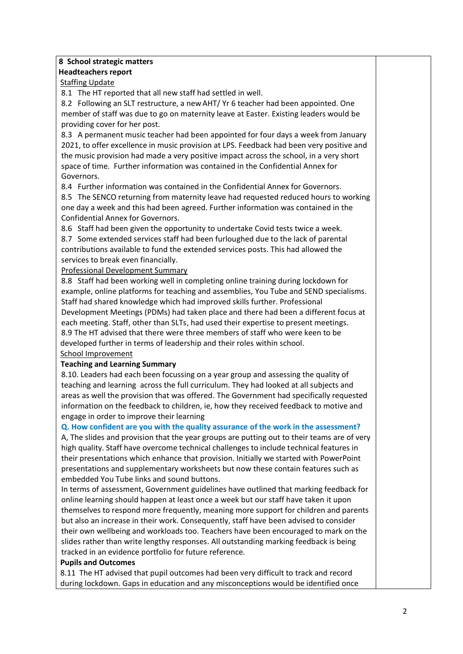# **8 School strategic matters Headteachers report**

**Staffing Update** 

8.1 The HT reported that all new staff had settled in well.

8.2 Following an SLT restructure, a new AHT/ Yr 6 teacher had been appointed. One member of staff was due to go on maternity leave at Easter. Existing leaders would be providing cover for her post.

8.3 A permanent music teacher had been appointed for four days a week from January 2021, to offer excellence in music provision at LPS. Feedback had been very positive and the music provision had made a very positive impact across the school, in a very short space of time. Further information was contained in the Confidential Annex for Governors.

8.4 Further information was contained in the Confidential Annex for Governors.

8.5 The SENCO returning from maternity leave had requested reduced hours to working one day a week and this had been agreed. Further information was contained in the Confidential Annex for Governors.

8.6 Staff had been given the opportunity to undertake Covid tests twice a week.

8.7 Some extended services staff had been furloughed due to the lack of parental contributions available to fund the extended services posts. This had allowed the services to break even financially.

# Professional Development Summary

8.8 Staff had been working well in completing online training during lockdown for example, online platforms for teaching and assemblies, You Tube and SEND specialisms. Staff had shared knowledge which had improved skills further. Professional Development Meetings (PDMs) had taken place and there had been a different focus at each meeting. Staff, other than SLTs, had used their expertise to present meetings. 8.9 The HT advised that there were three members of staff who were keen to be developed further in terms of leadership and their roles within school. School Improvement

#### **Teaching and Learning Summary**

8.10. Leaders had each been focussing on a year group and assessing the quality of teaching and learning across the full curriculum. They had looked at all subjects and areas as well the provision that was offered. The Government had specifically requested information on the feedback to children, ie, how they received feedback to motive and engage in order to improve their learning

# **Q. How confident are you with the quality assurance of the work in the assessment?**

A, The slides and provision that the year groups are putting out to their teams are of very high quality. Staff have overcome technical challenges to include technical features in their presentations which enhance that provision. Initially we started with PowerPoint presentations and supplementary worksheets but now these contain features such as embedded You Tube links and sound buttons.

In terms of assessment, Government guidelines have outlined that marking feedback for online learning should happen at least once a week but our staff have taken it upon themselves to respond more frequently, meaning more support for children and parents but also an increase in their work. Consequently, staff have been advised to consider their own wellbeing and workloads too. Teachers have been encouraged to mark on the slides rather than write lengthy responses. All outstanding marking feedback is being tracked in an evidence portfolio for future reference.

# **Pupils and Outcomes**

8.11 The HT advised that pupil outcomes had been very difficult to track and record during lockdown. Gaps in education and any misconceptions would be identified once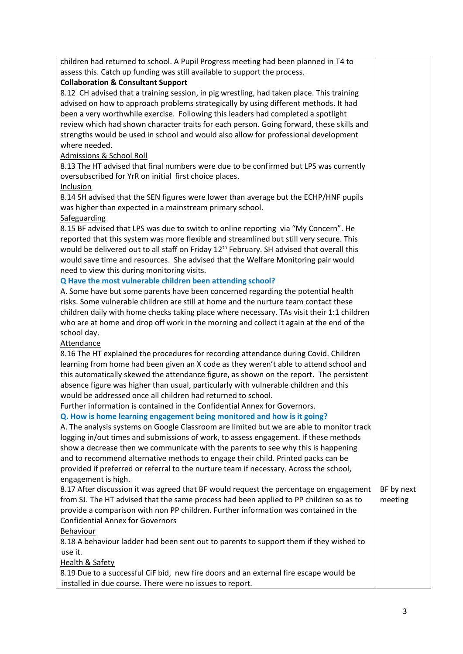children had returned to school. A Pupil Progress meeting had been planned in T4 to assess this. Catch up funding was still available to support the process.

## **Collaboration & Consultant Support**

8.12 CH advised that a training session, in pig wrestling, had taken place. This training advised on how to approach problems strategically by using different methods. It had been a very worthwhile exercise. Following this leaders had completed a spotlight review which had shown character traits for each person. Going forward, these skills and strengths would be used in school and would also allow for professional development where needed.

## Admissions & School Roll

8.13 The HT advised that final numbers were due to be confirmed but LPS was currently oversubscribed for YrR on initial first choice places.

#### Inclusion

8.14 SH advised that the SEN figures were lower than average but the ECHP/HNF pupils was higher than expected in a mainstream primary school.

### Safeguarding

8.15 BF advised that LPS was due to switch to online reporting via "My Concern". He reported that this system was more flexible and streamlined but still very secure. This would be delivered out to all staff on Friday 12<sup>th</sup> February. SH advised that overall this would save time and resources. She advised that the Welfare Monitoring pair would need to view this during monitoring visits.

# **Q Have the most vulnerable children been attending school?**

A. Some have but some parents have been concerned regarding the potential health risks. Some vulnerable children are still at home and the nurture team contact these children daily with home checks taking place where necessary. TAs visit their 1:1 children who are at home and drop off work in the morning and collect it again at the end of the school day.

#### Attendance

8.16 The HT explained the procedures for recording attendance during Covid. Children learning from home had been given an X code as they weren't able to attend school and this automatically skewed the attendance figure, as shown on the report. The persistent absence figure was higher than usual, particularly with vulnerable children and this would be addressed once all children had returned to school.

Further information is contained in the Confidential Annex for Governors.

# **Q. How is home learning engagement being monitored and how is it going?**

A. The analysis systems on Google Classroom are limited but we are able to monitor track logging in/out times and submissions of work, to assess engagement. If these methods show a decrease then we communicate with the parents to see why this is happening and to recommend alternative methods to engage their child. Printed packs can be provided if preferred or referral to the nurture team if necessary. Across the school, engagement is high.

8.17 After discussion it was agreed that BF would request the percentage on engagement from SJ. The HT advised that the same process had been applied to PP children so as to provide a comparison with non PP children. Further information was contained in the Confidential Annex for Governors Behaviour BF by next meeting

8.18 A behaviour ladder had been sent out to parents to support them if they wished to use it.

#### **Health & Safety**

8.19 Due to a successful CiF bid, new fire doors and an external fire escape would be installed in due course. There were no issues to report.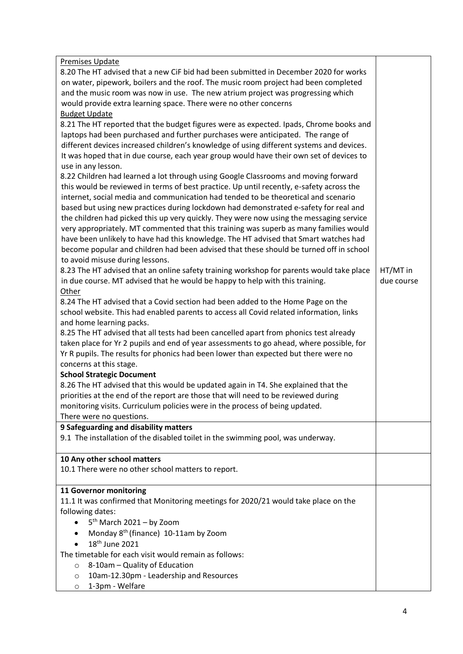| <b>Premises Update</b>                                                                   |            |  |  |
|------------------------------------------------------------------------------------------|------------|--|--|
| 8.20 The HT advised that a new CiF bid had been submitted in December 2020 for works     |            |  |  |
| on water, pipework, boilers and the roof. The music room project had been completed      |            |  |  |
| and the music room was now in use. The new atrium project was progressing which          |            |  |  |
| would provide extra learning space. There were no other concerns                         |            |  |  |
| <b>Budget Update</b>                                                                     |            |  |  |
| 8.21 The HT reported that the budget figures were as expected. Ipads, Chrome books and   |            |  |  |
| laptops had been purchased and further purchases were anticipated. The range of          |            |  |  |
| different devices increased children's knowledge of using different systems and devices. |            |  |  |
| It was hoped that in due course, each year group would have their own set of devices to  |            |  |  |
| use in any lesson.                                                                       |            |  |  |
| 8.22 Children had learned a lot through using Google Classrooms and moving forward       |            |  |  |
| this would be reviewed in terms of best practice. Up until recently, e-safety across the |            |  |  |
| internet, social media and communication had tended to be theoretical and scenario       |            |  |  |
| based but using new practices during lockdown had demonstrated e-safety for real and     |            |  |  |
| the children had picked this up very quickly. They were now using the messaging service  |            |  |  |
| very appropriately. MT commented that this training was superb as many families would    |            |  |  |
| have been unlikely to have had this knowledge. The HT advised that Smart watches had     |            |  |  |
| become popular and children had been advised that these should be turned off in school   |            |  |  |
| to avoid misuse during lessons.                                                          |            |  |  |
| 8.23 The HT advised that an online safety training workshop for parents would take place | HT/MT in   |  |  |
| in due course. MT advised that he would be happy to help with this training.             | due course |  |  |
| Other                                                                                    |            |  |  |
| 8.24 The HT advised that a Covid section had been added to the Home Page on the          |            |  |  |
| school website. This had enabled parents to access all Covid related information, links  |            |  |  |
| and home learning packs.                                                                 |            |  |  |
| 8.25 The HT advised that all tests had been cancelled apart from phonics test already    |            |  |  |
| taken place for Yr 2 pupils and end of year assessments to go ahead, where possible, for |            |  |  |
| Yr R pupils. The results for phonics had been lower than expected but there were no      |            |  |  |
| concerns at this stage.                                                                  |            |  |  |
| <b>School Strategic Document</b>                                                         |            |  |  |
| 8.26 The HT advised that this would be updated again in T4. She explained that the       |            |  |  |
| priorities at the end of the report are those that will need to be reviewed during       |            |  |  |
| monitoring visits. Curriculum policies were in the process of being updated.             |            |  |  |
| There were no questions.                                                                 |            |  |  |
| 9 Safeguarding and disability matters                                                    |            |  |  |
| 9.1 The installation of the disabled toilet in the swimming pool, was underway.          |            |  |  |
|                                                                                          |            |  |  |
| 10 Any other school matters                                                              |            |  |  |
| 10.1 There were no other school matters to report.                                       |            |  |  |
|                                                                                          |            |  |  |
| 11 Governor monitoring                                                                   |            |  |  |
| 11.1 It was confirmed that Monitoring meetings for 2020/21 would take place on the       |            |  |  |
| following dates:                                                                         |            |  |  |
| $5th$ March 2021 – by Zoom<br>$\bullet$                                                  |            |  |  |
| Monday 8 <sup>th</sup> (finance) 10-11am by Zoom<br>$\bullet$                            |            |  |  |
| 18 <sup>th</sup> June 2021                                                               |            |  |  |
| The timetable for each visit would remain as follows:                                    |            |  |  |
| 8-10am - Quality of Education<br>$\circ$                                                 |            |  |  |
| 10am-12.30pm - Leadership and Resources<br>$\circ$                                       |            |  |  |
| 1-3pm - Welfare<br>$\circ$                                                               |            |  |  |